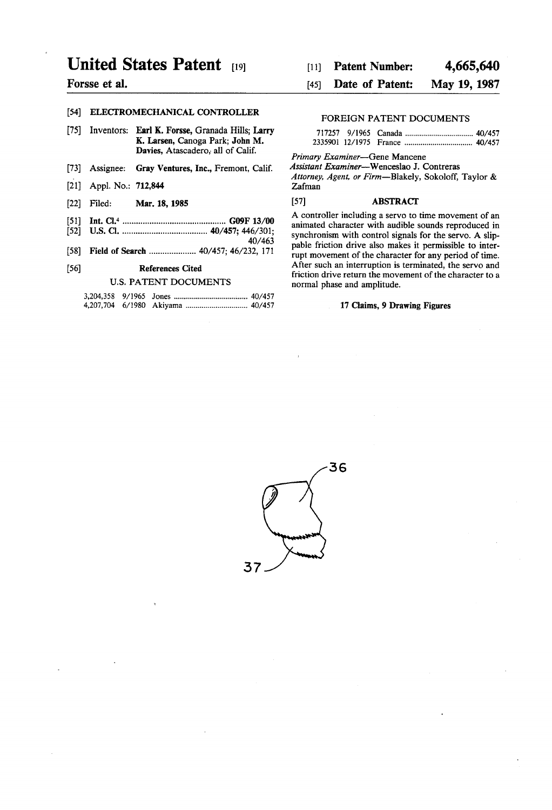# United States Patent [191]

# Forsse et al.

# [54] ELECTROMECHANICAL CONTROLLER

- [75] Inventors: **Earl K. Forsse, Granada Hills; Larry** K. Larsen, Canoga Park; John M. Davies, Atascadero; all of Calif.
- [13] Assignee: Gray Ventures, Inc., Fremont, Calif.
- [21] Appl. No.: **712,844**
- [221 Filed: Mar. 18, 1985
- [51] Int. Cl.4 ............................................ .. G09F 13/00
- [52] US. Cl. .................................... .. 40/457; 446/301; 40/463
- [53] Field of Search .................... 40/457; 46/232, 171

#### [56] References Cited

### U.S. PATENT DOCUMENTS

#### 4,665,640 Patent Number:  $[11]$

#### May 19, 1987 Date of Patent: [45]

# FOREIGN PATENT DOCUMENTS

Primary Examiner-Gene Mancene

Assistant Examiner-—Wenceslao J. Contreras

Attorney, Agent, or Firm-Blakely, Sokoloff, Taylor & Zafman

# [57] ABSTRACT

A controller including a servo to time movement of an animated character with audible sounds reproduced in synchronism with control signals for the servo. A slip pable friction drive also makes it permissible to inter rupt movement of the character for any period of time. After such an interruption is terminated, the servo and friction drive return the movement of the character to a normal phase and amplitude.

#### 17 Claims, 9 Drawing Figures

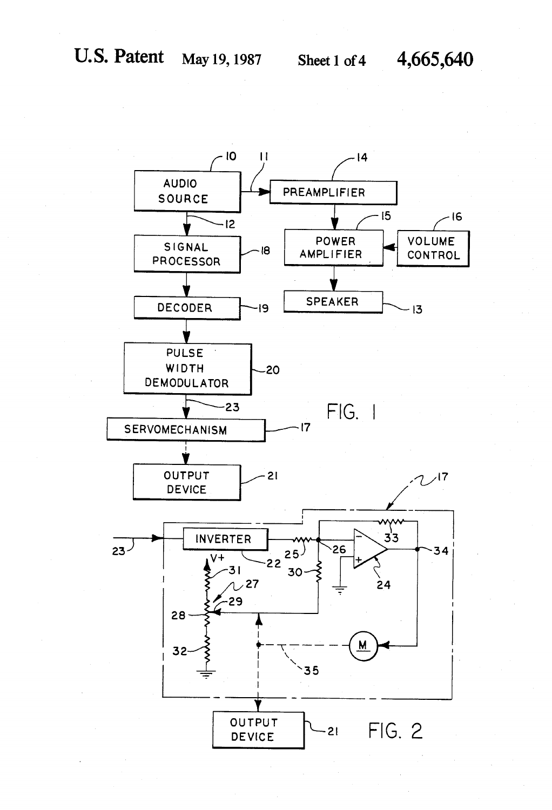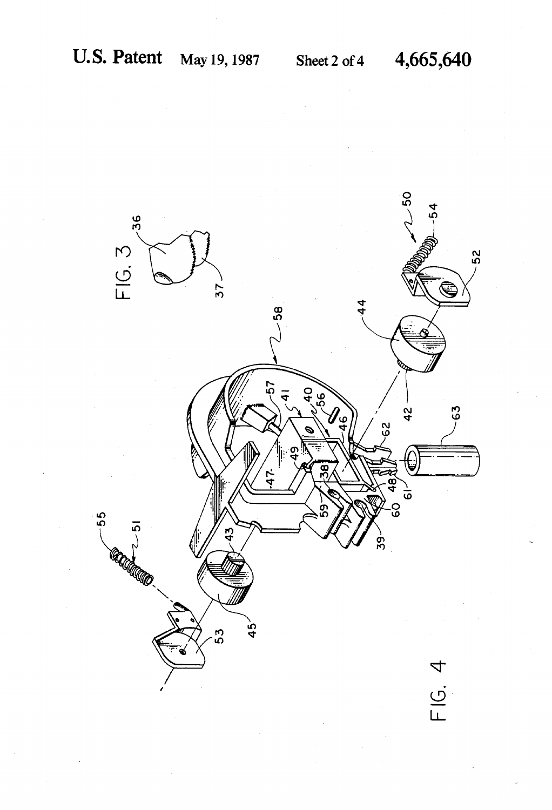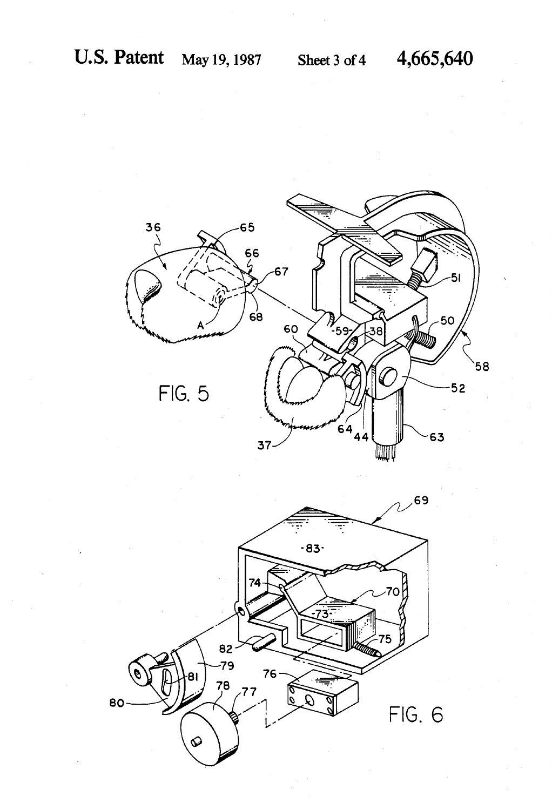

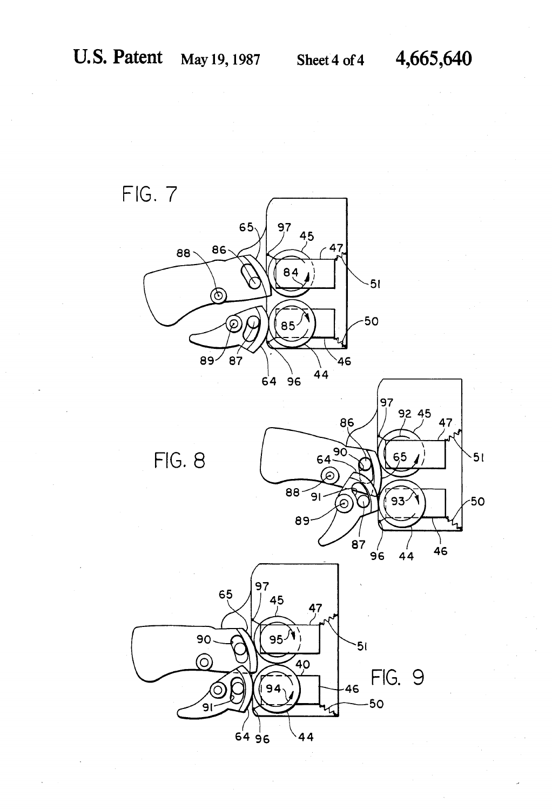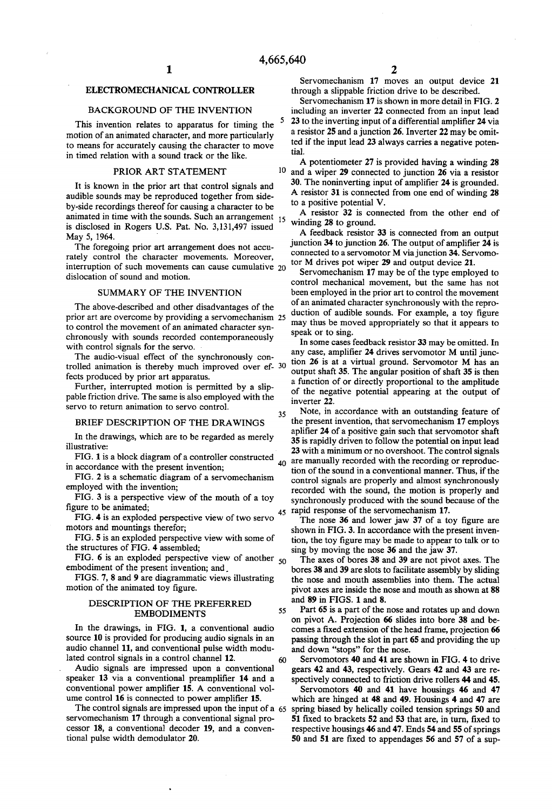5

10

35

55

60

# ELECTROMECHANICAL CONTROLLER

#### BACKGROUND OF THE INVENTION

This invention relates to apparatus for timing the motion of an animated character, and more particularly to means for accurately causing the character to move in timed relation with a sound track or the like.

### PRIOR ART STATEMENT

It is known in the prior art that control signals and audible sounds may be reproduced together from side by-side recordings thereof for causing a character to be animated in time with the sounds. Such an arrangement 15 is disclosed in Rogers US. Pat. No. 3,131,497 issued May 5, 1964.

The foregoing prior art arrangement does not accu rately control the character movements. Moreover, interruption of such movements can cause cumulative 20 dislocation of sound and motion.

#### SUMMARY OF THE INVENTION

The above-described and other disadvantages of the prior art are overcome by providing a servomechanism 25 to control the movement of an animated character syn chronously with sounds recorded contemporaneously with control signals for the servo.

The audio-visual effect of the synchronously con trolled animation is thereby much improved over ef fects produced by prior art apparatus.

Further, interrupted motion is permitted by a slip pable friction drive. The same is also employed with the servo to return animation to servo control.

### BRIEF DESCRIPTION OF THE DRAWINGS

In the drawings, which are to be regarded as merely illustrative:

FIG. 1 is a block diagram of a controller constructed in accordance with the present invention;

FIG. 2 is a schematic diagram of a servomechanism employed with the invention;

FIG. 3 is a perspective view of the mouth of a toy ngure to be animated;

FIG. 4 is an exploded perspective view of two servo<br>  $45$  rapid response of the servomechanism 17.<br>
The nose 36 and lower jaw 37 of a to motors and mountings therefor;

FIG. 5 is an exploded perspective view with some of the structures of FIG. 4 assembled;

FIG. 6 is an exploded perspective view of another  $_{50}$ embodiment of the present invention; and,

FIGS. 7, 8 and 9 are diagrammatic views illustrating motion of the animated toy figure.

# DESCRIPTION OF THE PREFERRED EMBODIMENTS

In the drawings, in FIG. 1, a conventional audio source 10 is provided for producing audio signals in an audio channel 11, and conventional pulse width modu lated control signals in a control channel 12.

Audio signals are impressed upon a conventional speaker 13 via a conventional preamplifier 14 and a conventional power amplifier 15. A conventional volume control 16 is connected to power amplifier 15.

The control signals are impressed upon the input of a 65 servomechanism 17 through a conventional signal pro cessor 18, a conventional decoder 19, and a conven tional pulse width demodulator 20.

Servomechanism 17 moves an output device 21 through a slippable friction drive to be described.

Servomechanism 17 is shown in more detail in FIG. 2 including an inverter 22 connected from an input lead 23 to the inverting input of a differential amplifier 24 via a resistor 25 and a junction 26. Inverter 22 may be omit ted if the input lead 23 always carries a negative poten tial.

A potentiometer 27 is provided having a winding 28 and a wiper 29 connected to junction 26 via a resistor 30. The noninverting input of amplifier 24 is grounded. A resistor 31 is connected from one end of winding 28 to a positive potential V.

A resistor 32 is connected from the other end of winding 28 to ground.

A feedback resistor 33 is connected from an output junction 34 to junction 26. The output of amplifier  $24$  is connected to a servomotor M via junction 34. Servomo tor M drives pot wiper 29 and output device 21.

Servomechanism 17 may be of the type employed to control mechanical movement, but the same has not been employed in the prior art to control the movement of an animated character synchronously with the repro duction of audible sounds. For example, a toy figure may thus be moved appropriately so that it appears to speak or to sing.

In some cases feedback resistor 33 may be omitted. In any case, amplifier 24 drives servomotor M until junction 26 is at a virtual ground. Servomotor M has an output shaft 35. The angular position of shaft 35 is then a function of or directly proportional to the amplitude of the negative potential appearing at the output of inverter 22.

 $40$  are manually recorded with the recording or reproduc-Note, in accordance with an outstanding feature of the present invention, that servomechanism 17 employs aplifier 24 of a positive gain such that servomotor shaft 35 is rapidly driven to follow the potential on input lead 23 with a minimum or no overshoot. The control signals tion of the sound in a conventional manner. Thus, if the control signals are properly and almost synchronously recorded with the sound, the motion is properly and synchronously produced with the sound because of the

The nose 36 and lower jaw 37 of a toy figure are shown in FIG. 3. In accordance with the present inven tion, the toy figure may be made to appear to talk or to sing by moving the nose 36 and the jaw 37.

The axes of bores 38 and 39 are not pivot axes. The bores 38 and 39 are slots to facilitate assembly by sliding the nose and mouth assemblies into them. The actual pivot axes are inside the nose and mouth as shown at 88 and 89 in FIGS. 1 and 8.

Part 65 is a part of the nose and rotates up and down on pivot A. Projection 66 slides into bore 38 and be comes a fixed extension of the head frame, projection 66 passing through the slot in part 65 and providing the up and down "stops" for the nose.

Servomotors 40 and 41 are shown in FIG. 4 to drive gears 42 and 43, respectively. Gears 42 and 43 are re spectively connected to friction drive rollers 44 and 45.

Servomotors 40 and 41 have housings 46 and 47 which are hinged at 48 and 49. Housings 4 and 47 are spring biased by helically coiled tension springs 50 and 51 fixed to brackets 52 and 53 that are, in turn, fixed to respective housings 46 and 47. Ends 54 and 55 of springs 50 and 51 are fixed to appendages 56 and 57 of a sup-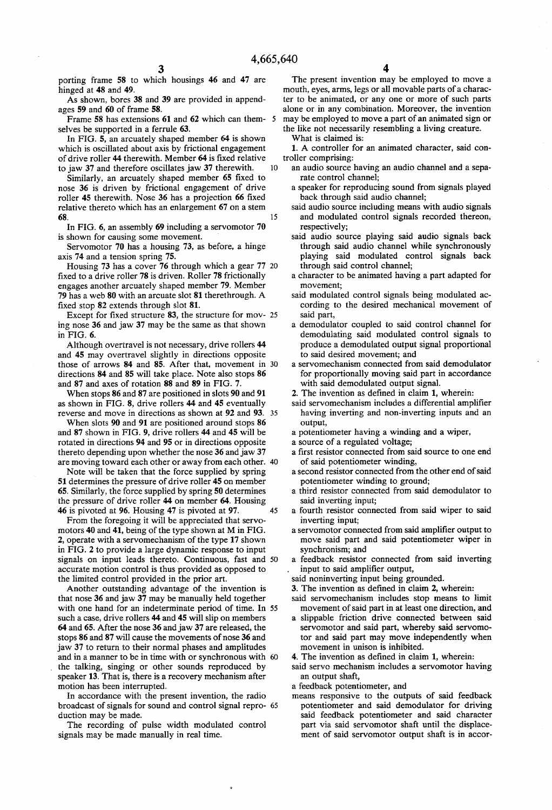porting frame 58 to which housings 46 and 47 are hinged at 48 and 49.

As shown, bores 38 and 39 are provided in append ages 59 and 60 of frame 58.

Frame 58 has extensions 61 and 62 which can them selves be supported in a ferrule 63.

In FIG. 5, an arcuately shaped member 64 is shown which is oscillated about axis by frictional engagement of drive roller 44 therewith. Member 64 is fixed relative to jaw 37 and therefore oscillates jaw 37 therewith.  $10$ 

Similarly, an arcuately shaped member 65 fixed to nose 36 is driven by frictional engagement of drive roller 45 therewith. Nose 36 has a projection 66 fixed relative thereto which has an enlargement 67 on a stem 68. 15

In FIG. 6, an assembly 69 including a servomotor 70 is shown for causing some movement.

Servomotor 70 has a housing 73, as before, a hinge axis 74 and a tension spring 75.

Housing 73 has a cover 76 through which a gear 77 fixed to a drive roller 78 is driven. Roller 78 frictionally engages another arcuately shaped member 79. Member 79 has a web 80 with an arcuate slot 81 therethrough. A fixed stop 82 extends through slot 81.

Except for fixed structure  $83$ , the structure for mov-  $25$ ing nose 36 and jaw 37 may be the same as that shown in FIG. 6.

Although overtravel is not necessary, drive rollers 44 and 45 may overtravel slightly in directions opposite those of arrows 84 and 85. After that, movement in directions 84 and 85 will take place. Note also stops 86 and 87 and axes of rotation 88 and 89 in FIG. 7.

When stops 86 and 87 are positioned in slots 90 and 91 as shown in FIG. 8, drive rollers 44 and 45 eventually reverse and move in directions as shown at 92 and 93. 35

When slots 90 and 91 are positioned around stops 86 and 87 shown in FIG. 9, drive rollers 44 and 45 will be rotated in directions 94 and 95 or in directions opposite thereto depending upon whether the nose 36 and jaw 37 are moving toward each other or away from each other.

Note will be taken that the force supplied by spring 51 determines the pressure of drive roller 45 on member 65. Similarly, the force supplied by spring 50 determines the pressure of drive roller 44 on member 64. Housing 46 is pivoted at 96. Housing 47 is pivoted at 97. 45

From the foregoing it will be appreciated that servo motors 40 and 41, being of the type shown at M in FIG. 2, operate with a servomechanism of the type 17 shown in FIG. 2 to provide a large dynamic response to input signals on input leads thereto. Continuous, fast and 50 accurate motion control is thus provided as opposed to the limited control provided in the prior art.

Another outstanding advantage of the invention is that nose 36 and jaw 37 may be manually held together with one hand for an indeterminate period of time. In 55 such a case, drive rollers 44 and 45 will slip on members 64 and 65. After the nose 36 and jaw 37 are released, the stops 86 and 87 will cause the movements of nose 36 and jaw 37 to return to their normal phases and amplitudes and in a manner to be in time with or synchronous with the talking, singing or other sounds reproduced by speaker 13. That is, there is a recovery mechanism after motion has been interrupted.

In accordance with the present invention, the radio broadcast of signals for sound and control signal repro- 65 duction may be made.

The recording of pulse width modulated control signals may be made manually in real time.

The present invention may be employed to move a mouth, eyes, arms, legs or all movable parts of a charac ter to be animated, or any one or more of such parts alone or in any combination. Moreover, the invention may be employed to move a part of an animated sign or the like not necessarily resembling a living creature.

What is claimed is:

1. A controller for an animated character, said controller comprising:

- an audio source having an audio channel and a separate control channel;
- a speaker for reproducing sound from signals played back through said audio channel;
- said audio source including means with audio signals and modulated control signals recorded thereon, respectively;
- said audio source playing said audio signals back through said audio channel while synchronously playing said modulated control signals back through said control channel; a character to be animated having a part adapted for
- movement;
- said modulated control signals being modulated ac cording to the desired mechanical movement of
- said part, a demodulator coupled to said control channel for demodulating said modulated control signals to produce a demodulated output signal proportional to said desired movement; and a servomechanism connected from said demodulator
- for proportionally moving said part in accordance with said demodulated output signal.
- 2. The invention as defined in claim 1, wherein:
- said servomechanism includes a differential amplifier having inverting and non-inverting inputs and an output, a potentiometer having a winding and a wiper,
- 
- a source of a regulated voltage;
- a first resistor connected from said source to one end of said potentiometer winding, a second resistor connected from the other end of said
- potentiometer winding to ground; a third resistor connected from said demodulator to
- said inverting input; a fourth resistor connected from said wiper to said
- 
- inverting input;<br>a servomotor connected from said amplifier output to move said part and said potentiometer wiper in synchronism; and a feedback resistor connected from said inverting
- input to said amplifier output,

said noninverting input being grounded.

- 3. The invention as defined in claim 2, wherein:
- said servomechanism includes stop means to limit movement of said part in at least one direction, and
- a slippable friction drive connected between said servomotor and said part, whereby said servomo tor and said part may move independently when movement in unison is inhibited.
- 4. The invention as defined in claim 1, wherein:
- said servo mechanism includes a servomotor having an output shaft,
- a feedback potentiometer, and
- means responsive to the outputs of said feedback potentiometer and said demodulator for driving said feedback potentiometer and said character part via said servomotor shaft until the displace ment of said servomotor output shaft is in accor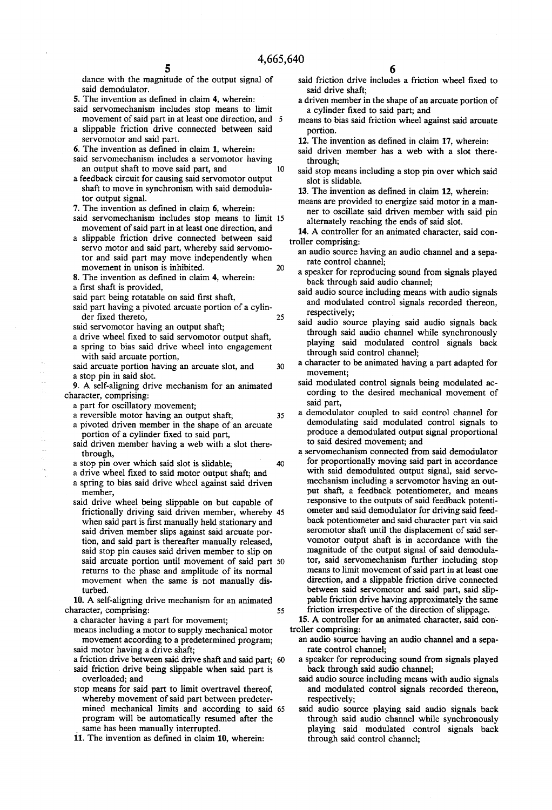10

30

35

40

dance with the magnitude of the output signal of said demodulator.

- 5. The invention as defined in claim 4, wherein:
- said servomechanism includes stop means to limit movement of said part in at least one direction, and  $\overline{5}$
- a slippable friction drive connected between said servomotor and said part.
- 6. The invention as defined in claim  $1$ , wherein:
- said servomechanism includes a servomotor having an output shaft to move said part, and
- a feedback circuit for causing said servomotor output shaft to move in synchronism with said demodula tor output signal.
- 7. The invention as defined in claim 6, wherein:
- said servomechanism includes stop means to limit 15 movement of said part in at least one direction, and
- a slippable friction drive connected between said servo motor and said part, whereby said servomo tor and said part may move independently when movement in unison is inhibited. 20
- 8. The invention as defined in claim 4, wherein: a first shaft is provided,
- said part being rotatable on said first shaft,
- said part having a pivoted arcuate portion of a cylin der fixed thereto, 25
- said servomotor having an output shaft;
- a drive wheel fixed to said servomotor output shaft,
- a spring to bias said drive wheel into engagement with said arcuate portion,
- said arcuate portion having an arcuate slot, and a stop pin in said slot.
- 9. A self-aligning drive mechanism for an animated character, comprising:
	-
	- a reversible motor having an output shaft;
	- a pivoted driven member in the shape of an arcuate portion of a cylinder fixed to said part,
	- said driven member having a web with a slot there through, a stop pin over which said slot is slidable;
	-
	- a drive wheel fixed to said motor output shaft; and
	- a spring to bias said drive wheel against said driven member,
	- said drive wheel being slippable on but capable of frictionally driving said driven member, whereby 45 when said part is first manually held stationary and said driven member slips against said arcuate por tion, and said part is thereafter manually released, said stop pin causes said driven member to slip on said arcuate portion until movement of said part 50 returns to the phase and amplitude of its normal movement when the same is not manually dis turbed.

10. A self-aligning drive mechanism for an animated 55

- a character having a part for movement;
- means including a motor to supply mechanical motor movement according to a predetermined program;<br>said motor having a drive shaft;
- a friction drive between said drive shaft and said part; 60 said friction drive being slippable when said part is overloaded; and
- stop means for said part to limit overtravel thereof, whereby movement of said part between predeter mined mechanical limits and according to said 65 program will be automatically resumed after the same has been manually interrupted.
- 11. The invention as defined in claim 10, wherein:
- 6
- said friction drive includes a friction wheel fixed to said drive shaft:
- a driven member in the shape of an arcuate portion of a cylinder fixed to said part; and
- means to bias said friction wheel against said arcuate portion.
- 12. The invention as defined in claim 17, wherein:
- said driven member has a web with a slot there through;
- said stop means including a stop pin over which said slot is slidable.
- 13. The invention as defined in claim 12, wherein:
- means are provided to energize said motor in a man ner to oscillate said driven member with said pin alternately reaching the ends of said slot.
- 14. A controller for an animated character, said controller comprising:
- an audio source having an audio channel and a separate control channel;
- a speaker for reproducing sound from signals played back through said audio channel;
- said audio source including means with audio signals and modulated control signals recorded thereon, respectively;
- said audio source playing said audio signals back through said audio channel while synchronously playing said modulated control signals back through said control channel; a character to be animated having a part adapted for
- movement;
- said modulated control signals being modulated ac cording to the desired mechanical movement of said part, a demodulator coupled to said control channel for
- demodulating said modulated control signals to produce a demodulated output signal proportional to said desired movement; and
- a servomechanism connected from said demodulator for proportionally moving said part in accordance with said demodulated output signal, said servo mechanism including a servomotor having an out put shaft, a feedback potentiometer, and means responsive to the outputs of said feedback potenti ometer and said demodulator for driving said feed back potentiometer and said character part via said seromotor shaft until the displacement of said ser vomotor output shaft is in accordance with the magnitude of the output signal of said demodula tor, said servomechanism further including stop means to limit movement of said part in at least one direction, and a slippable friction drive connected between said servomotor and said part, said slip pable friction drive having approximately the same friction irrespective of the direction of slippage.

15. A controller for an animated character, said controller comprising:

- an audio source having an audio channel and a separate control channel;
- a speaker for reproducing sound from signals played back through said audio channel;
- said audio source including means with audio signals and modulated control signals recorded thereon, respectively;
- said audio source playing said audio signals back through said audio channel while synchronously playing said modulated control signals back through said control channel;